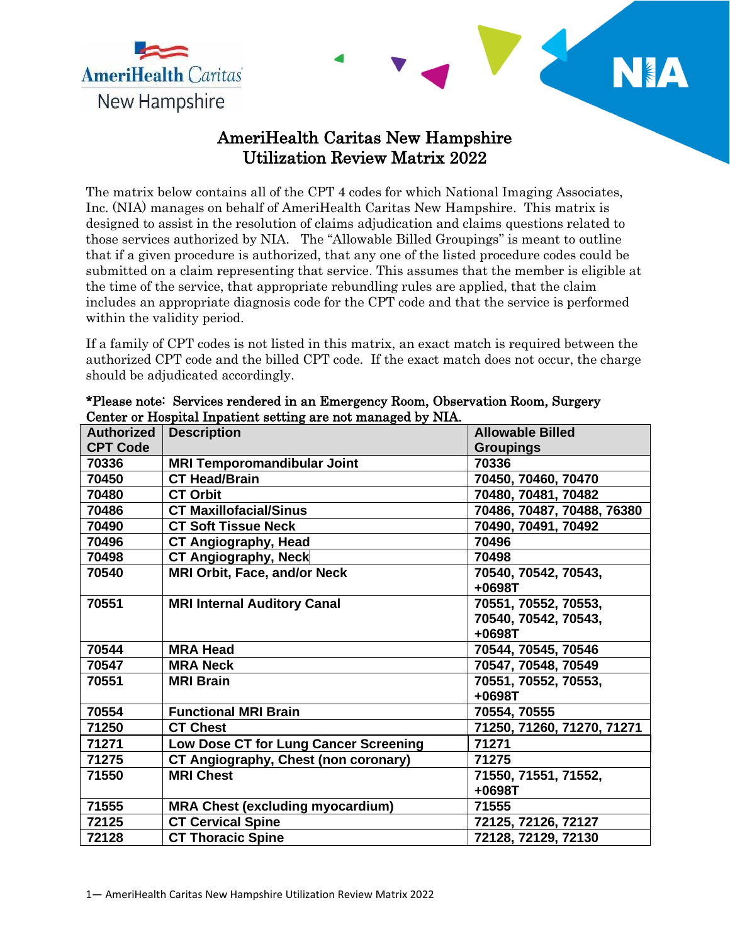

## AmeriHealth Caritas New Hampshire Utilization Review Matrix 2022

NIA

The matrix below contains all of the CPT 4 codes for which National Imaging Associates, Inc. (NIA) manages on behalf of AmeriHealth Caritas New Hampshire. This matrix is designed to assist in the resolution of claims adjudication and claims questions related to those services authorized by NIA. The "Allowable Billed Groupings" is meant to outline that if a given procedure is authorized, that any one of the listed procedure codes could be submitted on a claim representing that service. This assumes that the member is eligible at the time of the service, that appropriate rebundling rules are applied, that the claim includes an appropriate diagnosis code for the CPT code and that the service is performed within the validity period.

If a family of CPT codes is not listed in this matrix, an exact match is required between the authorized CPT code and the billed CPT code. If the exact match does not occur, the charge should be adjudicated accordingly.

| <b>Authorized</b> | <b>Description</b>                          | <b>Allowable Billed</b>    |
|-------------------|---------------------------------------------|----------------------------|
| <b>CPT Code</b>   |                                             | <b>Groupings</b>           |
| 70336             | <b>MRI Temporomandibular Joint</b>          | 70336                      |
| 70450             | <b>CT Head/Brain</b>                        | 70450, 70460, 70470        |
| 70480             | <b>CT Orbit</b>                             | 70480, 70481, 70482        |
| 70486             | <b>CT Maxillofacial/Sinus</b>               | 70486, 70487, 70488, 76380 |
| 70490             | <b>CT Soft Tissue Neck</b>                  | 70490, 70491, 70492        |
| 70496             | <b>CT Angiography, Head</b>                 | 70496                      |
| 70498             | <b>CT Angiography, Neck</b>                 | 70498                      |
| 70540             | <b>MRI Orbit, Face, and/or Neck</b>         | 70540, 70542, 70543,       |
|                   |                                             | $+0698T$                   |
| 70551             | <b>MRI Internal Auditory Canal</b>          | 70551, 70552, 70553,       |
|                   |                                             | 70540, 70542, 70543,       |
|                   |                                             | +0698T                     |
| 70544             | <b>MRA Head</b>                             | 70544, 70545, 70546        |
| 70547             | <b>MRA Neck</b>                             | 70547, 70548, 70549        |
| 70551             | <b>MRI Brain</b>                            | 70551, 70552, 70553,       |
|                   |                                             | +0698T                     |
| 70554             | <b>Functional MRI Brain</b>                 | 70554, 70555               |
| 71250             | <b>CT Chest</b>                             | 71250, 71260, 71270, 71271 |
| 71271             | Low Dose CT for Lung Cancer Screening       | 71271                      |
| 71275             | <b>CT Angiography, Chest (non coronary)</b> | 71275                      |
| 71550             | <b>MRI Chest</b>                            | 71550, 71551, 71552,       |
|                   |                                             | +0698T                     |
| 71555             | <b>MRA Chest (excluding myocardium)</b>     | 71555                      |
| 72125             | <b>CT Cervical Spine</b>                    | 72125, 72126, 72127        |
| 72128             | <b>CT Thoracic Spine</b>                    | 72128, 72129, 72130        |

| *Please note: Services rendered in an Emergency Room, Observation Room, Surgery |  |  |  |  |
|---------------------------------------------------------------------------------|--|--|--|--|
| Center or Hospital Inpatient setting are not managed by NIA.                    |  |  |  |  |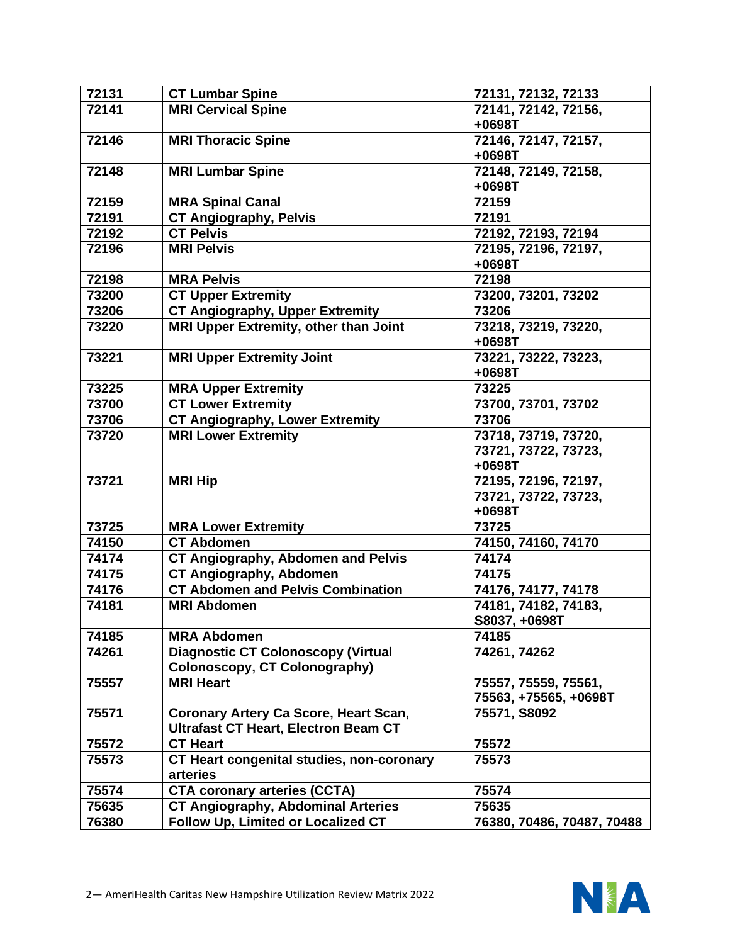| 72131 | <b>CT Lumbar Spine</b>                          | 72131, 72132, 72133        |
|-------|-------------------------------------------------|----------------------------|
| 72141 | <b>MRI Cervical Spine</b>                       | 72141, 72142, 72156,       |
|       |                                                 | +0698T                     |
| 72146 | <b>MRI Thoracic Spine</b>                       | 72146, 72147, 72157,       |
|       |                                                 | $+0698T$                   |
| 72148 | <b>MRI Lumbar Spine</b>                         | 72148, 72149, 72158,       |
|       |                                                 | +0698T                     |
| 72159 | <b>MRA Spinal Canal</b>                         | 72159                      |
| 72191 | <b>CT Angiography, Pelvis</b>                   | 72191                      |
| 72192 | <b>CT Pelvis</b>                                | 72192, 72193, 72194        |
| 72196 | <b>MRI Pelvis</b>                               | 72195, 72196, 72197,       |
|       |                                                 | +0698T                     |
| 72198 | <b>MRA Pelvis</b>                               | 72198                      |
| 73200 | <b>CT Upper Extremity</b>                       | 73200, 73201, 73202        |
| 73206 | <b>CT Angiography, Upper Extremity</b>          | 73206                      |
| 73220 | <b>MRI Upper Extremity, other than Joint</b>    | 73218, 73219, 73220,       |
|       |                                                 | +0698T                     |
| 73221 | <b>MRI Upper Extremity Joint</b>                | 73221, 73222, 73223,       |
|       |                                                 | +0698T                     |
| 73225 | <b>MRA Upper Extremity</b>                      | 73225                      |
| 73700 | <b>CT Lower Extremity</b>                       | 73700, 73701, 73702        |
| 73706 | <b>CT Angiography, Lower Extremity</b>          | 73706                      |
| 73720 | <b>MRI Lower Extremity</b>                      | 73718, 73719, 73720,       |
|       |                                                 | 73721, 73722, 73723,       |
|       |                                                 | +0698T                     |
| 73721 | <b>MRI Hip</b>                                  | 72195, 72196, 72197,       |
|       |                                                 | 73721, 73722, 73723,       |
|       |                                                 | +0698T                     |
| 73725 |                                                 | 73725                      |
|       | <b>MRA Lower Extremity</b><br><b>CT Abdomen</b> |                            |
| 74150 |                                                 | 74150, 74160, 74170        |
| 74174 | <b>CT Angiography, Abdomen and Pelvis</b>       | 74174                      |
| 74175 | <b>CT Angiography, Abdomen</b>                  | 74175                      |
| 74176 | <b>CT Abdomen and Pelvis Combination</b>        | 74176, 74177, 74178        |
| 74181 | <b>MRI Abdomen</b>                              | 74181, 74182, 74183,       |
|       |                                                 | S8037, +0698T              |
| 74185 | <b>MRA Abdomen</b>                              | 74185                      |
| 74261 | <b>Diagnostic CT Colonoscopy (Virtual</b>       | 74261, 74262               |
|       | Colonoscopy, CT Colonography)                   |                            |
| 75557 | <b>MRI Heart</b>                                | 75557, 75559, 75561,       |
|       |                                                 | 75563, +75565, +0698T      |
| 75571 | <b>Coronary Artery Ca Score, Heart Scan,</b>    | 75571, S8092               |
|       | <b>Ultrafast CT Heart, Electron Beam CT</b>     |                            |
| 75572 | <b>CT Heart</b>                                 | 75572                      |
| 75573 | CT Heart congenital studies, non-coronary       | 75573                      |
|       | arteries                                        |                            |
| 75574 | <b>CTA coronary arteries (CCTA)</b>             | 75574                      |
| 75635 | <b>CT Angiography, Abdominal Arteries</b>       | 75635                      |
| 76380 | Follow Up, Limited or Localized CT              | 76380, 70486, 70487, 70488 |